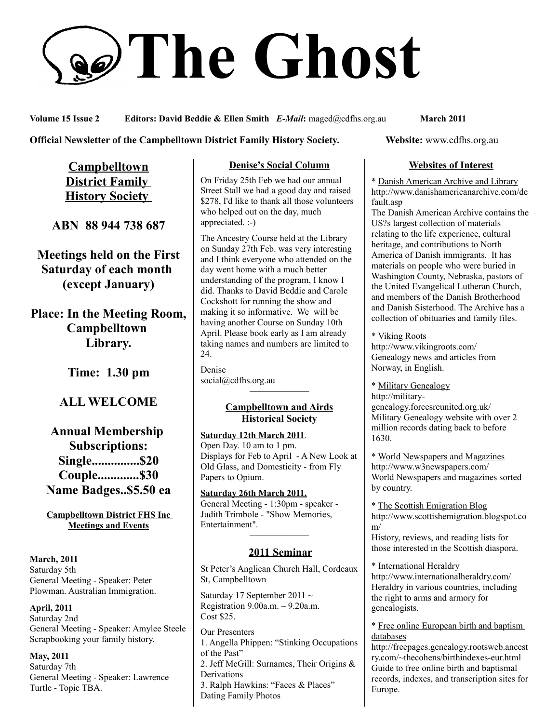# **The Ghost**

**Volume 15 Issue 2 Editors: David Beddie & Ellen Smith** *E-Mail***:** maged@cdfhs.org.au **March 2011**

**Official Newsletter of the Campbelltown District Family History Society. Website: www.cdfhs.org.au** 

**Campbelltown District Family History Society** 

**ABN 88 944 738 687**

**Meetings held on the First Saturday of each month (except January)**

**Place: In the Meeting Room, Campbelltown Library.**

**Time: 1.30 pm**

# **ALL WELCOME**

**Annual Membership Subscriptions: Single...............\$20 Couple.............\$30 Name Badges..\$5.50 ea**

**Campbelltown District FHS Inc Meetings and Events**

**March, 2011** Saturday 5th General Meeting - Speaker: Peter Plowman. Australian Immigration.

**April, 2011** Saturday 2nd General Meeting - Speaker: Amylee Steele Scrapbooking your family history.

**May, 2011** Saturday 7th General Meeting - Speaker: Lawrence Turtle - Topic TBA.

# **Denise's Social Column**

On Friday 25th Feb we had our annual Street Stall we had a good day and raised \$278, I'd like to thank all those volunteers who helped out on the day, much appreciated. :-)

The Ancestry Course held at the Library on Sunday 27th Feb. was very interesting and I think everyone who attended on the day went home with a much better understanding of the program, I know I did. Thanks to David Beddie and Carole Cockshott for running the show and making it so informative. We will be having another Course on Sunday 10th April. Please book early as I am already taking names and numbers are limited to 24.

Denise social@cdfhs.org.au ——————–

# **Campbelltown and Airds Historical Society**

**Saturday 12th March 2011**. Open Day. 10 am to 1 pm. Displays for Feb to April - A New Look at Old Glass, and Domesticity - from Fly Papers to Opium.

**Saturday 26th March 2011.** General Meeting - 1:30pm - speaker - Judith Trimbole - "Show Memories, Entertainment".

# ——————– **2011 Seminar**

St Peter's Anglican Church Hall, Cordeaux St, Campbelltown

Saturday 17 September 2011  $\sim$ Registration 9.00a.m. – 9.20a.m. Cost \$25.

Our Presenters 1. Angella Phippen: "Stinking Occupations of the Past" 2. Jeff McGill: Surnames, Their Origins & Derivations 3. Ralph Hawkins: "Faces & Places" Dating Family Photos

# **Websites of Interest**

\* Danish American Archive and Library http://www.danishamericanarchive.com/de fault.asp

The Danish American Archive contains the US?s largest collection of materials relating to the life experience, cultural heritage, and contributions to North America of Danish immigrants. It has materials on people who were buried in Washington County, Nebraska, pastors of the United Evangelical Lutheran Church, and members of the Danish Brotherhood and Danish Sisterhood. The Archive has a collection of obituaries and family files.

\* Viking Roots http://www.vikingroots.com/ Genealogy news and articles from Norway, in English.

\* Military Genealogy http://militarygenealogy.forcesreunited.org.uk/ Military Genealogy website with over 2 million records dating back to before 1630.

\* World Newspapers and Magazines http://www.w3newspapers.com/ World Newspapers and magazines sorted by country.

\* The Scottish Emigration Blog http://www.scottishemigration.blogspot.co m/ History, reviews, and reading lists for

those interested in the Scottish diaspora.

\* International Heraldry http://www.internationalheraldry.com/ Heraldry in various countries, including the right to arms and armory for genealogists.

\* Free online European birth and baptism databases

http://freepages.genealogy.rootsweb.ancest ry.com/~thecohens/birthindexes-eur.html Guide to free online birth and baptismal records, indexes, and transcription sites for Europe.